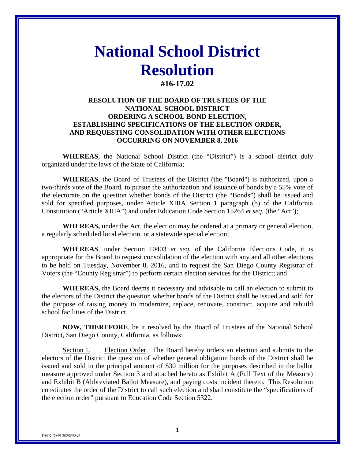# **National School District Resolution #16-17.02**

# **RESOLUTION OF THE BOARD OF TRUSTEES OF THE NATIONAL SCHOOL DISTRICT ORDERING A SCHOOL BOND ELECTION, ESTABLISHING SPECIFICATIONS OF THE ELECTION ORDER, AND REQUESTING CONSOLIDATION WITH OTHER ELECTIONS OCCURRING ON NOVEMBER 8, 2016**

**WHEREAS**, the National School District (the "District") is a school district duly organized under the laws of the State of California;

**WHEREAS**, the Board of Trustees of the District (the "Board") is authorized, upon a two-thirds vote of the Board, to pursue the authorization and issuance of bonds by a 55% vote of the electorate on the question whether bonds of the District (the "Bonds") shall be issued and sold for specified purposes, under Article XIIIA Section 1 paragraph (b) of the California Constitution ("Article XIIIA") and under Education Code Section 15264 *et seq.* (the "Act");

**WHEREAS,** under the Act, the election may be ordered at a primary or general election, a regularly scheduled local election, or a statewide special election;

**WHEREAS**, under Section 10403 *et seq.* of the California Elections Code, it is appropriate for the Board to request consolidation of the election with any and all other elections to be held on Tuesday, November 8, 2016, and to request the San Diego County Registrar of Voters (the "County Registrar") to perform certain election services for the District; and

**WHEREAS,** the Board deems it necessary and advisable to call an election to submit to the electors of the District the question whether bonds of the District shall be issued and sold for the purpose of raising money to modernize, replace, renovate, construct, acquire and rebuild school facilities of the District.

**NOW, THEREFORE**, be it resolved by the Board of Trustees of the National School District, San Diego County, California, as follows:

Section 1. Election Order. The Board hereby orders an election and submits to the electors of the District the question of whether general obligation bonds of the District shall be issued and sold in the principal amount of \$30 million for the purposes described in the ballot measure approved under Section 3 and attached hereto as Exhibit A (Full Text of the Measure) and Exhibit B (Abbreviated Ballot Measure), and paying costs incident thereto. This Resolution constitutes the order of the District to call such election and shall constitute the "specifications of the election order" pursuant to Education Code Section 5322.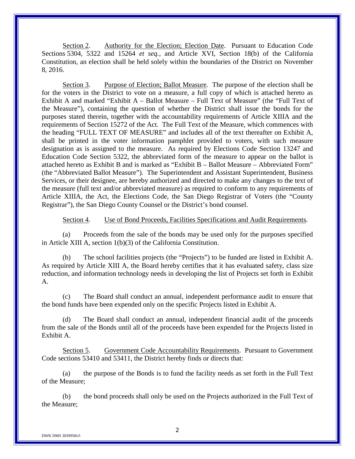Section 2. Authority for the Election; Election Date. Pursuant to Education Code Sections 5304, 5322 and 15264 *et seq.,* and Article XVI, Section 18(b) of the California Constitution, an election shall be held solely within the boundaries of the District on November 8, 2016.

Section 3. Purpose of Election; Ballot Measure. The purpose of the election shall be for the voters in the District to vote on a measure, a full copy of which is attached hereto as Exhibit A and marked "Exhibit A – Ballot Measure – Full Text of Measure" (the "Full Text of the Measure"), containing the question of whether the District shall issue the bonds for the purposes stated therein, together with the accountability requirements of Article XIIIA and the requirements of Section 15272 of the Act. The Full Text of the Measure, which commences with the heading "FULL TEXT OF MEASURE" and includes all of the text thereafter on Exhibit A, shall be printed in the voter information pamphlet provided to voters, with such measure designation as is assigned to the measure. As required by Elections Code Section 13247 and Education Code Section 5322, the abbreviated form of the measure to appear on the ballot is attached hereto as Exhibit B and is marked as "Exhibit B – Ballot Measure – Abbreviated Form" (the "Abbreviated Ballot Measure"). The Superintendent and Assistant Superintendent, Business Services, or their designee, are hereby authorized and directed to make any changes to the text of the measure (full text and/or abbreviated measure) as required to conform to any requirements of Article XIIIA, the Act, the Elections Code, the San Diego Registrar of Voters (the "County Registrar"), the San Diego County Counsel or the District's bond counsel.

Section 4. Use of Bond Proceeds, Facilities Specifications and Audit Requirements.

(a) Proceeds from the sale of the bonds may be used only for the purposes specified in Article XIII A, section 1(b)(3) of the California Constitution.

(b) The school facilities projects (the "Projects") to be funded are listed in Exhibit A. As required by Article XIII A, the Board hereby certifies that it has evaluated safety, class size reduction, and information technology needs in developing the list of Projects set forth in Exhibit A.

(c) The Board shall conduct an annual, independent performance audit to ensure that the bond funds have been expended only on the specific Projects listed in Exhibit A.

(d) The Board shall conduct an annual, independent financial audit of the proceeds from the sale of the Bonds until all of the proceeds have been expended for the Projects listed in Exhibit A.

Section 5. Government Code Accountability Requirements. Pursuant to Government Code sections 53410 and 53411, the District hereby finds or directs that:

(a) the purpose of the Bonds is to fund the facility needs as set forth in the Full Text of the Measure;

(b) the bond proceeds shall only be used on the Projects authorized in the Full Text of the Measure;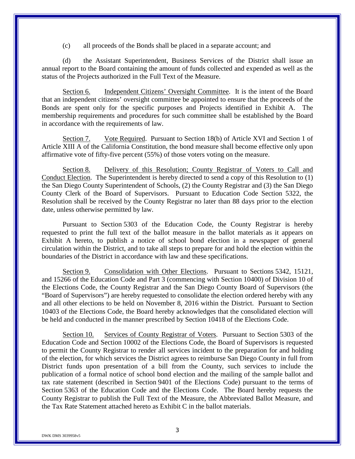(c) all proceeds of the Bonds shall be placed in a separate account; and

(d) the Assistant Superintendent, Business Services of the District shall issue an annual report to the Board containing the amount of funds collected and expended as well as the status of the Projects authorized in the Full Text of the Measure.

Section 6. Independent Citizens' Oversight Committee. It is the intent of the Board that an independent citizens' oversight committee be appointed to ensure that the proceeds of the Bonds are spent only for the specific purposes and Projects identified in Exhibit A. The membership requirements and procedures for such committee shall be established by the Board in accordance with the requirements of law.

Section 7. Vote Required. Pursuant to Section 18(b) of Article XVI and Section 1 of Article XIII A of the California Constitution, the bond measure shall become effective only upon affirmative vote of fifty-five percent (55%) of those voters voting on the measure.

Section 8. Delivery of this Resolution; County Registrar of Voters to Call and Conduct Election. The Superintendent is hereby directed to send a copy of this Resolution to (1) the San Diego County Superintendent of Schools, (2) the County Registrar and (3) the San Diego County Clerk of the Board of Supervisors. Pursuant to Education Code Section 5322, the Resolution shall be received by the County Registrar no later than 88 days prior to the election date, unless otherwise permitted by law.

Pursuant to Section 5303 of the Education Code, the County Registrar is hereby requested to print the full text of the ballot measure in the ballot materials as it appears on Exhibit A hereto, to publish a notice of school bond election in a newspaper of general circulation within the District, and to take all steps to prepare for and hold the election within the boundaries of the District in accordance with law and these specifications.

Section 9. Consolidation with Other Elections. Pursuant to Sections 5342, 15121, and 15266 of the Education Code and Part 3 (commencing with Section 10400) of Division 10 of the Elections Code, the County Registrar and the San Diego County Board of Supervisors (the "Board of Supervisors") are hereby requested to consolidate the election ordered hereby with any and all other elections to be held on November 8, 2016 within the District. Pursuant to Section 10403 of the Elections Code, the Board hereby acknowledges that the consolidated election will be held and conducted in the manner prescribed by Section 10418 of the Elections Code.

Section 10. Services of County Registrar of Voters. Pursuant to Section 5303 of the Education Code and Section 10002 of the Elections Code, the Board of Supervisors is requested to permit the County Registrar to render all services incident to the preparation for and holding of the election, for which services the District agrees to reimburse San Diego County in full from District funds upon presentation of a bill from the County, such services to include the publication of a formal notice of school bond election and the mailing of the sample ballot and tax rate statement (described in Section 9401 of the Elections Code) pursuant to the terms of Section 5363 of the Education Code and the Elections Code. The Board hereby requests the County Registrar to publish the Full Text of the Measure, the Abbreviated Ballot Measure, and the Tax Rate Statement attached hereto as Exhibit C in the ballot materials.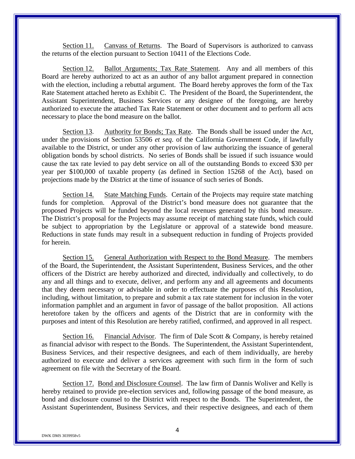Section 11. Canvass of Returns. The Board of Supervisors is authorized to canvass the returns of the election pursuant to Section 10411 of the Elections Code.

Section 12. Ballot Arguments; Tax Rate Statement. Any and all members of this Board are hereby authorized to act as an author of any ballot argument prepared in connection with the election, including a rebuttal argument. The Board hereby approves the form of the Tax Rate Statement attached hereto as Exhibit C. The President of the Board, the Superintendent, the Assistant Superintendent, Business Services or any designee of the foregoing, are hereby authorized to execute the attached Tax Rate Statement or other document and to perform all acts necessary to place the bond measure on the ballot.

Section 13. Authority for Bonds; Tax Rate.The Bonds shall be issued under the Act, under the provisions of Section 53506 *et seq*. of the California Government Code, if lawfully available to the District, or under any other provision of law authorizing the issuance of general obligation bonds by school districts. No series of Bonds shall be issued if such issuance would cause the tax rate levied to pay debt service on all of the outstanding Bonds to exceed \$30 per year per \$100,000 of taxable property (as defined in Section 15268 of the Act), based on projections made by the District at the time of issuance of such series of Bonds.

Section 14. State Matching Funds. Certain of the Projects may require state matching funds for completion. Approval of the District's bond measure does not guarantee that the proposed Projects will be funded beyond the local revenues generated by this bond measure. The District's proposal for the Projects may assume receipt of matching state funds, which could be subject to appropriation by the Legislature or approval of a statewide bond measure. Reductions in state funds may result in a subsequent reduction in funding of Projects provided for herein.

Section 15. General Authorization with Respect to the Bond Measure. The members of the Board, the Superintendent, the Assistant Superintendent, Business Services, and the other officers of the District are hereby authorized and directed, individually and collectively, to do any and all things and to execute, deliver, and perform any and all agreements and documents that they deem necessary or advisable in order to effectuate the purposes of this Resolution, including, without limitation, to prepare and submit a tax rate statement for inclusion in the voter information pamphlet and an argument in favor of passage of the ballot proposition. All actions heretofore taken by the officers and agents of the District that are in conformity with the purposes and intent of this Resolution are hereby ratified, confirmed, and approved in all respect.

Section 16. Financial Advisor. The firm of Dale Scott & Company, is hereby retained as financial advisor with respect to the Bonds. The Superintendent, the Assistant Superintendent, Business Services, and their respective designees, and each of them individually, are hereby authorized to execute and deliver a services agreement with such firm in the form of such agreement on file with the Secretary of the Board.

Section 17. Bond and Disclosure Counsel. The law firm of Dannis Woliver and Kelly is hereby retained to provide pre-election services and, following passage of the bond measure, as bond and disclosure counsel to the District with respect to the Bonds. The Superintendent, the Assistant Superintendent, Business Services, and their respective designees, and each of them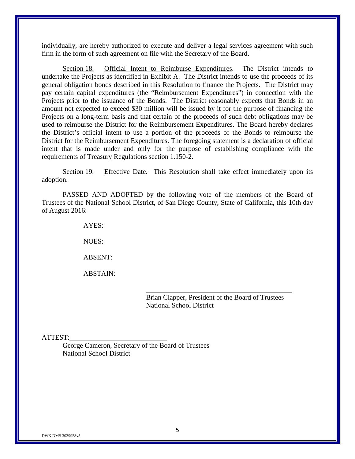individually, are hereby authorized to execute and deliver a legal services agreement with such firm in the form of such agreement on file with the Secretary of the Board.

Section 18. Official Intent to Reimburse Expenditures. The District intends to undertake the Projects as identified in Exhibit A. The District intends to use the proceeds of its general obligation bonds described in this Resolution to finance the Projects. The District may pay certain capital expenditures (the "Reimbursement Expenditures") in connection with the Projects prior to the issuance of the Bonds. The District reasonably expects that Bonds in an amount not expected to exceed \$30 million will be issued by it for the purpose of financing the Projects on a long-term basis and that certain of the proceeds of such debt obligations may be used to reimburse the District for the Reimbursement Expenditures. The Board hereby declares the District's official intent to use a portion of the proceeds of the Bonds to reimburse the District for the Reimbursement Expenditures. The foregoing statement is a declaration of official intent that is made under and only for the purpose of establishing compliance with the requirements of Treasury Regulations section 1.150-2.

Section 19. Effective Date. This Resolution shall take effect immediately upon its adoption.

PASSED AND ADOPTED by the following vote of the members of the Board of Trustees of the National School District, of San Diego County, State of California, this 10th day of August 2016:

AYES:

NOES:

ABSENT:

ABSTAIN:

Brian Clapper, President of the Board of Trustees National School District

#### ATTEST:

George Cameron, Secretary of the Board of Trustees National School District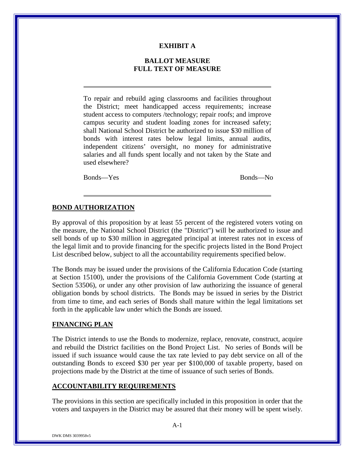## **EXHIBIT A**

# **BALLOT MEASURE FULL TEXT OF MEASURE**

To repair and rebuild aging classrooms and facilities throughout the District; meet handicapped access requirements; increase student access to computers /technology; repair roofs; and improve campus security and student loading zones for increased safety; shall National School District be authorized to issue \$30 million of bonds with interest rates below legal limits, annual audits, independent citizens' oversight, no money for administrative salaries and all funds spent locally and not taken by the State and used elsewhere?

Bonds—Yes Bonds—No

# **BOND AUTHORIZATION**

By approval of this proposition by at least 55 percent of the registered voters voting on the measure, the National School District (the "District") will be authorized to issue and sell bonds of up to \$30 million in aggregated principal at interest rates not in excess of the legal limit and to provide financing for the specific projects listed in the Bond Project List described below, subject to all the accountability requirements specified below.

The Bonds may be issued under the provisions of the California Education Code (starting at Section 15100), under the provisions of the California Government Code (starting at Section 53506), or under any other provision of law authorizing the issuance of general obligation bonds by school districts. The Bonds may be issued in series by the District from time to time, and each series of Bonds shall mature within the legal limitations set forth in the applicable law under which the Bonds are issued.

# **FINANCING PLAN**

The District intends to use the Bonds to modernize, replace, renovate, construct, acquire and rebuild the District facilities on the Bond Project List. No series of Bonds will be issued if such issuance would cause the tax rate levied to pay debt service on all of the outstanding Bonds to exceed \$30 per year per \$100,000 of taxable property, based on projections made by the District at the time of issuance of such series of Bonds.

# **ACCOUNTABILITY REQUIREMENTS**

The provisions in this section are specifically included in this proposition in order that the voters and taxpayers in the District may be assured that their money will be spent wisely.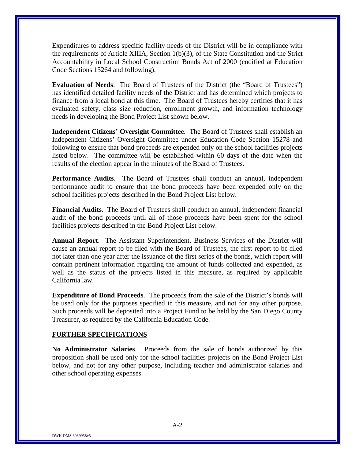Expenditures to address specific facility needs of the District will be in compliance with the requirements of Article XIIIA, Section 1(b)(3), of the State Constitution and the Strict Accountability in Local School Construction Bonds Act of 2000 (codified at Education Code Sections 15264 and following).

**Evaluation of Needs**. The Board of Trustees of the District (the "Board of Trustees") has identified detailed facility needs of the District and has determined which projects to finance from a local bond at this time. The Board of Trustees hereby certifies that it has evaluated safety, class size reduction, enrollment growth, and information technology needs in developing the Bond Project List shown below.

**Independent Citizens' Oversight Committee**. The Board of Trustees shall establish an Independent Citizens' Oversight Committee under Education Code Section 15278 and following to ensure that bond proceeds are expended only on the school facilities projects listed below. The committee will be established within 60 days of the date when the results of the election appear in the minutes of the Board of Trustees.

**Performance Audits**. The Board of Trustees shall conduct an annual, independent performance audit to ensure that the bond proceeds have been expended only on the school facilities projects described in the Bond Project List below.

**Financial Audits**. The Board of Trustees shall conduct an annual, independent financial audit of the bond proceeds until all of those proceeds have been spent for the school facilities projects described in the Bond Project List below.

**Annual Report**. The Assistant Superintendent, Business Services of the District will cause an annual report to be filed with the Board of Trustees, the first report to be filed not later than one year after the issuance of the first series of the bonds, which report will contain pertinent information regarding the amount of funds collected and expended, as well as the status of the projects listed in this measure, as required by applicable California law.

**Expenditure of Bond Proceeds**. The proceeds from the sale of the District's bonds will be used only for the purposes specified in this measure, and not for any other purpose. Such proceeds will be deposited into a Project Fund to be held by the San Diego County Treasurer, as required by the California Education Code.

## **FURTHER SPECIFICATIONS**

**No Administrator Salaries**. Proceeds from the sale of bonds authorized by this proposition shall be used only for the school facilities projects on the Bond Project List below, and not for any other purpose, including teacher and administrator salaries and other school operating expenses.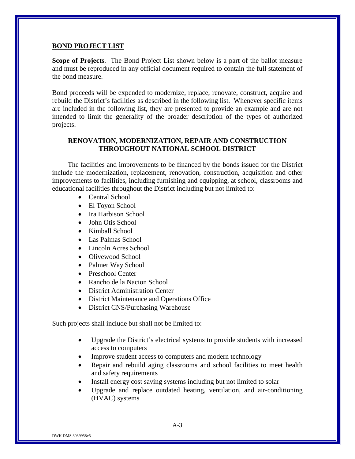#### **BOND PROJECT LIST**

**Scope of Projects**. The Bond Project List shown below is a part of the ballot measure and must be reproduced in any official document required to contain the full statement of the bond measure.

Bond proceeds will be expended to modernize, replace, renovate, construct, acquire and rebuild the District's facilities as described in the following list. Whenever specific items are included in the following list, they are presented to provide an example and are not intended to limit the generality of the broader description of the types of authorized projects.

# **RENOVATION, MODERNIZATION, REPAIR AND CONSTRUCTION THROUGHOUT NATIONAL SCHOOL DISTRICT**

The facilities and improvements to be financed by the bonds issued for the District include the modernization, replacement, renovation, construction, acquisition and other improvements to facilities, including furnishing and equipping, at school, classrooms and educational facilities throughout the District including but not limited to:

- Central School
- El Toyon School
- Ira Harbison School
- John Otis School
- Kimball School
- Las Palmas School
- Lincoln Acres School
- Olivewood School
- Palmer Way School
- Preschool Center
- Rancho de la Nacion School
- District Administration Center
- District Maintenance and Operations Office
- District CNS/Purchasing Warehouse

Such projects shall include but shall not be limited to:

- Upgrade the District's electrical systems to provide students with increased access to computers
- Improve student access to computers and modern technology
- Repair and rebuild aging classrooms and school facilities to meet health and safety requirements
- Install energy cost saving systems including but not limited to solar
- Upgrade and replace outdated heating, ventilation, and air-conditioning (HVAC) systems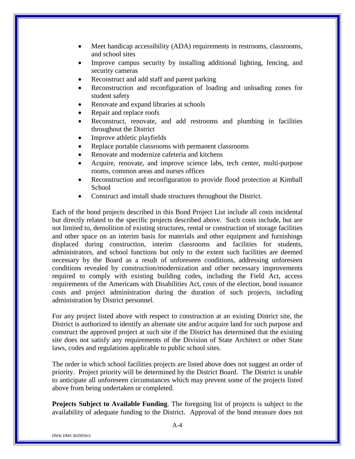- Meet handicap accessibility (ADA) requirements in restrooms, classrooms, and school sites
- Improve campus security by installing additional lighting, fencing, and security cameras
- Reconstruct and add staff and parent parking
- Reconstruction and reconfiguration of loading and unloading zones for student safety
- Renovate and expand libraries at schools
- Repair and replace roofs
- Reconstruct, renovate, and add restrooms and plumbing in facilities throughout the District
- Improve athletic playfields
- Replace portable classrooms with permanent classrooms
- Renovate and modernize cafeteria and kitchens
- Acquire, renovate, and improve science labs, tech center, multi-purpose rooms, common areas and nurses offices
- Reconstruction and reconfiguration to provide flood protection at Kimball School
- Construct and install shade structures throughout the District.

Each of the bond projects described in this Bond Project List include all costs incidental but directly related to the specific projects described above. Such costs include, but are not limited to, demolition of existing structures, rental or construction of storage facilities and other space on an interim basis for materials and other equipment and furnishings displaced during construction, interim classrooms and facilities for students, administrators, and school functions but only to the extent such facilities are deemed necessary by the Board as a result of unforeseen conditions, addressing unforeseen conditions revealed by construction/modernization and other necessary improvements required to comply with existing building codes, including the Field Act, access requirements of the Americans with Disabilities Act, costs of the election, bond issuance costs and project administration during the duration of such projects, including administration by District personnel.

For any project listed above with respect to construction at an existing District site, the District is authorized to identify an alternate site and/or acquire land for such purpose and construct the approved project at such site if the District has determined that the existing site does not satisfy any requirements of the Division of State Architect or other State laws, codes and regulations applicable to public school sites.

The order in which school facilities projects are listed above does not suggest an order of priority. Project priority will be determined by the District Board. The District is unable to anticipate all unforeseen circumstances which may prevent some of the projects listed above from being undertaken or completed.

**Projects Subject to Available Funding**. The foregoing list of projects is subject to the availability of adequate funding to the District. Approval of the bond measure does not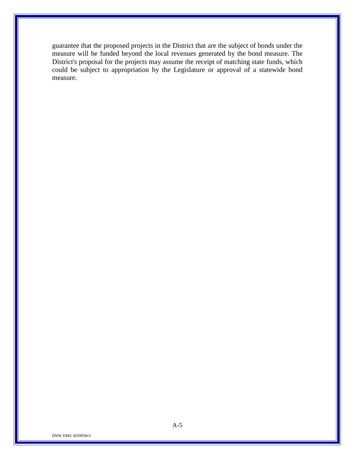guarantee that the proposed projects in the District that are the subject of bonds under the measure will be funded beyond the local revenues generated by the bond measure. The District's proposal for the projects may assume the receipt of matching state funds, which could be subject to appropriation by the Legislature or approval of a statewide bond measure.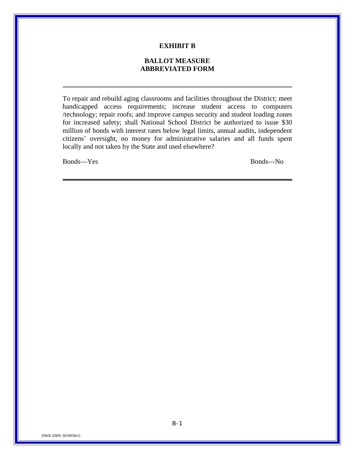### **EXHIBIT B**

# **BALLOT MEASURE ABBREVIATED FORM**

To repair and rebuild aging classrooms and facilities throughout the District; meet handicapped access requirements; increase student access to computers /technology; repair roofs; and improve campus security and student loading zones for increased safety; shall National School District be authorized to issue \$30 million of bonds with interest rates below legal limits, annual audits, independent citizens' oversight, no money for administrative salaries and all funds spent locally and not taken by the State and used elsewhere?

Bonds—Yes Bonds—No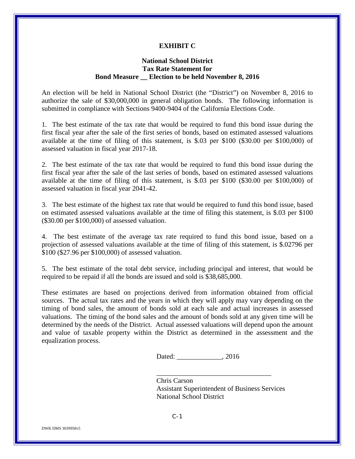#### **EXHIBIT C**

# **National School District Tax Rate Statement for Bond Measure \_\_ Election to be held November 8, 2016**

An election will be held in National School District (the "District") on November 8, 2016 to authorize the sale of \$30,000,000 in general obligation bonds. The following information is submitted in compliance with Sections 9400-9404 of the California Elections Code.

1. The best estimate of the tax rate that would be required to fund this bond issue during the first fiscal year after the sale of the first series of bonds, based on estimated assessed valuations available at the time of filing of this statement, is \$.03 per \$100 (\$30.00 per \$100,000) of assessed valuation in fiscal year 2017-18.

2. The best estimate of the tax rate that would be required to fund this bond issue during the first fiscal year after the sale of the last series of bonds, based on estimated assessed valuations available at the time of filing of this statement, is \$.03 per \$100 (\$30.00 per \$100,000) of assessed valuation in fiscal year 2041-42.

3. The best estimate of the highest tax rate that would be required to fund this bond issue, based on estimated assessed valuations available at the time of filing this statement, is \$.03 per \$100 (\$30.00 per \$100,000) of assessed valuation.

4. The best estimate of the average tax rate required to fund this bond issue, based on a projection of assessed valuations available at the time of filing of this statement, is \$.02796 per \$100 (\$27.96 per \$100,000) of assessed valuation.

5. The best estimate of the total debt service, including principal and interest, that would be required to be repaid if all the bonds are issued and sold is \$38,685,000.

These estimates are based on projections derived from information obtained from official sources. The actual tax rates and the years in which they will apply may vary depending on the timing of bond sales, the amount of bonds sold at each sale and actual increases in assessed valuations. The timing of the bond sales and the amount of bonds sold at any given time will be determined by the needs of the District. Actual assessed valuations will depend upon the amount and value of taxable property within the District as determined in the assessment and the equalization process.

Dated: \_\_\_\_\_\_\_\_\_\_\_\_\_, 2016

Chris Carson Assistant Superintendent of Business Services National School District

\_\_\_\_\_\_\_\_\_\_\_\_\_\_\_\_\_\_\_\_\_\_\_\_\_\_\_\_\_\_\_\_\_

C-1